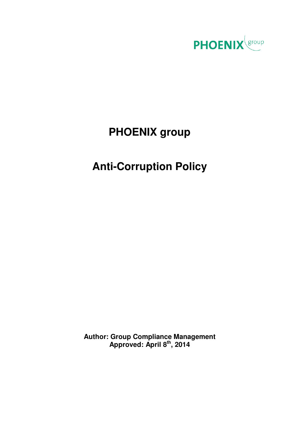

# **PHOENIX group**

## **Anti-Corruption Policy**

**Author: Group Compliance Management Approved: April 8th, 2014**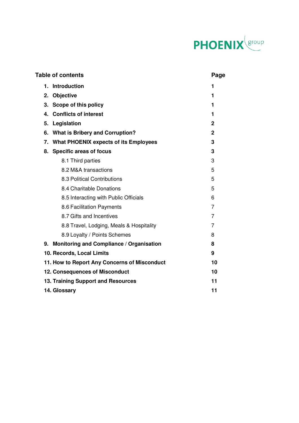

### Table of contents **Page**

| 1.                                                  | <b>Introduction</b>                          | 1              |  |
|-----------------------------------------------------|----------------------------------------------|----------------|--|
| 2.                                                  | <b>Objective</b>                             | 1              |  |
| 3.                                                  | Scope of this policy                         | 1              |  |
| 4.                                                  | <b>Conflicts of interest</b>                 | 1              |  |
| 5.                                                  | Legislation                                  | $\mathbf 2$    |  |
| 6.                                                  | <b>What is Bribery and Corruption?</b>       | $\overline{2}$ |  |
| 7.                                                  | <b>What PHOENIX expects of its Employees</b> | 3              |  |
| 8.                                                  | <b>Specific areas of focus</b>               | 3              |  |
|                                                     | 8.1 Third parties                            | 3              |  |
|                                                     | 8.2 M&A transactions                         | 5              |  |
|                                                     | 8.3 Political Contributions                  | 5              |  |
|                                                     | 8.4 Charitable Donations                     | 5              |  |
|                                                     | 8.5 Interacting with Public Officials        | 6              |  |
|                                                     | 8.6 Facilitation Payments                    | $\overline{7}$ |  |
|                                                     | 8.7 Gifts and Incentives                     | 7              |  |
|                                                     | 8.8 Travel, Lodging, Meals & Hospitality     | 7              |  |
|                                                     | 8.9 Loyalty / Points Schemes                 | 8              |  |
| Monitoring and Compliance / Organisation<br>8<br>9. |                                              |                |  |
| 10. Records, Local Limits<br>9                      |                                              |                |  |
| 11. How to Report Any Concerns of Misconduct<br>10  |                                              |                |  |
|                                                     | <b>12. Consequences of Misconduct</b><br>10  |                |  |
|                                                     | 13. Training Support and Resources<br>11     |                |  |
|                                                     | 14. Glossary                                 |                |  |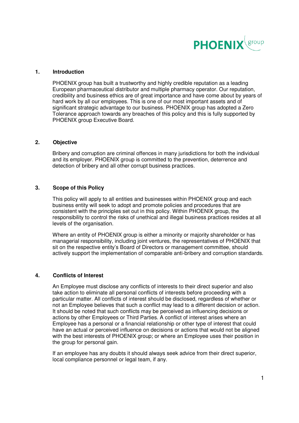

#### **1. Introduction**

PHOENIX group has built a trustworthy and highly credible reputation as a leading European pharmaceutical distributor and multiple pharmacy operator. Our reputation, credibility and business ethics are of great importance and have come about by years of hard work by all our employees. This is one of our most important assets and of significant strategic advantage to our business. PHOENIX group has adopted a Zero Tolerance approach towards any breaches of this policy and this is fully supported by PHOENIX group Executive Board.

#### **2. Objective**

Bribery and corruption are criminal offences in many jurisdictions for both the individual and its employer. PHOENIX group is committed to the prevention, deterrence and detection of bribery and all other corrupt business practices.

#### **3. Scope of this Policy**

This policy will apply to all entities and businesses within PHOENIX group and each business entity will seek to adopt and promote policies and procedures that are consistent with the principles set out in this policy. Within PHOENIX group, the responsibility to control the risks of unethical and illegal business practices resides at all levels of the organisation.

Where an entity of PHOENIX group is either a minority or majority shareholder or has managerial responsibility, including joint ventures, the representatives of PHOENIX that sit on the respective entity's Board of Directors or management committee, should actively support the implementation of comparable anti-bribery and corruption standards.

#### **4. Conflicts of Interest**

An Employee must disclose any conflicts of interests to their direct superior and also take action to eliminate all personal conflicts of interests before proceeding with a particular matter. All conflicts of interest should be disclosed, regardless of whether or not an Employee believes that such a conflict may lead to a different decision or action. It should be noted that such conflicts may be perceived as influencing decisions or actions by other Employees or Third Parties. A conflict of interest arises where an Employee has a personal or a financial relationship or other type of interest that could have an actual or perceived influence on decisions or actions that would not be aligned with the best interests of PHOENIX group; or where an Employee uses their position in the group for personal gain.

If an employee has any doubts it should always seek advice from their direct superior, local compliance personnel or legal team, if any.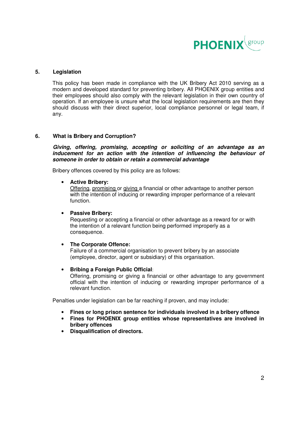

#### **5. Legislation**

This policy has been made in compliance with the UK Bribery Act 2010 serving as a modern and developed standard for preventing bribery. All PHOENIX group entities and their employees should also comply with the relevant legislation in their own country of operation. If an employee is unsure what the local legislation requirements are then they should discuss with their direct superior, local compliance personnel or legal team, if any.

#### **6. What is Bribery and Corruption?**

**Giving, offering, promising, accepting or soliciting of an advantage as an inducement for an action with the intention of influencing the behaviour of someone in order to obtain or retain a commercial advantage** 

Bribery offences covered by this policy are as follows:

#### • **Active Bribery:**

Offering, promising or giving a financial or other advantage to another person with the intention of inducing or rewarding improper performance of a relevant function.

#### • **Passive Bribery:**

Requesting or accepting a financial or other advantage as a reward for or with the intention of a relevant function being performed improperly as a consequence.

#### • **The Corporate Offence:**

Failure of a commercial organisation to prevent bribery by an associate (employee, director, agent or subsidiary) of this organisation.

#### • **Bribing a Foreign Public Official**:

Offering, promising or giving a financial or other advantage to any government official with the intention of inducing or rewarding improper performance of a relevant function.

Penalties under legislation can be far reaching if proven, and may include:

- **Fines or long prison sentence for individuals involved in a bribery offence**
- **Fines for PHOENIX group entities whose representatives are involved in bribery offences**
- **Disqualification of directors.**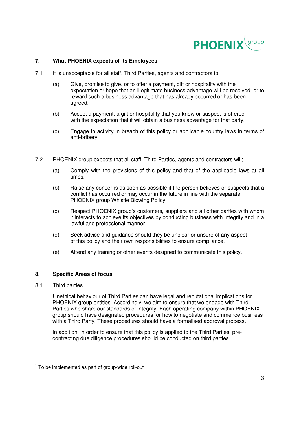

### **7. What PHOENIX expects of its Employees**

- 7.1 It is unacceptable for all staff. Third Parties, agents and contractors to:
	- (a) Give, promise to give, or to offer a payment, gift or hospitality with the expectation or hope that an illegitimate business advantage will be received, or to reward such a business advantage that has already occurred or has been agreed.
	- (b) Accept a payment, a gift or hospitality that you know or suspect is offered with the expectation that it will obtain a business advantage for that party.
	- (c) Engage in activity in breach of this policy or applicable country laws in terms of anti-bribery.
- 7.2 PHOENIX group expects that all staff, Third Parties, agents and contractors will;
	- (a) Comply with the provisions of this policy and that of the applicable laws at all times.
- (b) Raise any concerns as soon as possible if the person believes or suspects that a conflict has occurred or may occur in the future in line with the separate PHOENIX group Whistle Blowing Policy<sup>1</sup>.
	- (c) Respect PHOENIX group's customers, suppliers and all other parties with whom it interacts to achieve its objectives by conducting business with integrity and in a lawful and professional manner.
	- (d) Seek advice and guidance should they be unclear or unsure of any aspect of this policy and their own responsibilities to ensure compliance.
	- (e) Attend any training or other events designed to communicate this policy.

### **8. Specific Areas of focus**

#### 8.1 Third parties

 Unethical behaviour of Third Parties can have legal and reputational implications for PHOENIX group entities. Accordingly, we aim to ensure that we engage with Third Parties who share our standards of integrity. Each operating company within PHOENIX group should have designated procedures for how to negotiate and commence business with a Third Party. These procedures should have a formalised approval process.

In addition, in order to ensure that this policy is applied to the Third Parties, precontracting due diligence procedures should be conducted on third parties.

<sup>-</sup> $1$  To be implemented as part of group-wide roll-out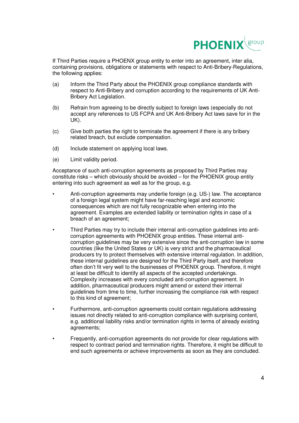

If Third Parties require a PHOENX group entity to enter into an agreement, inter alia, containing provisions, obligations or statements with respect to Anti-Bribery-Regulations, the following applies:

- (a) Inform the Third Party about the PHOENIX group compliance standards with respect to Anti-Bribery and corruption according to the requirements of UK Anti-Bribery Act Legislation.
- (b) Refrain from agreeing to be directly subject to foreign laws (especially do not accept any references to US FCPA and UK Anti-Bribery Act laws save for in the UK).
- (c) Give both parties the right to terminate the agreement if there is any bribery related breach, but exclude compensation.
- (d) Include statement on applying local laws.
- (e) Limit validity period.

Acceptance of such anti-corruption agreements as proposed by Third Parties may constitute risks – which obviously should be avoided – for the PHOENIX group entity entering into such agreement as well as for the group, e.g.

- Anti-corruption agreements may underlie foreign (e.g. US-) law. The acceptance of a foreign legal system might have far-reaching legal and economic consequences which are not fully recognizable when entering into the agreement. Examples are extended liability or termination rights in case of a breach of an agreement;
- Third Parties may try to include their internal anti-corruption guidelines into anticorruption agreements with PHOENIX group entities. These internal anticorruption guidelines may be very extensive since the anti-corruption law in some countries (like the United States or UK) is very strict and the pharmaceutical producers try to protect themselves with extensive internal regulation. In addition, these internal guidelines are designed for the Third Party itself, and therefore often don't fit very well to the businesses of PHOENIX group. Therefore, it might at least be difficult to identify all aspects of the accepted undertakings. Complexity increases with every concluded anti-corruption agreement. In addition, pharmaceutical producers might amend or extend their internal guidelines from time to time, further increasing the compliance risk with respect to this kind of agreement;
- Furthermore, anti-corruption agreements could contain regulations addressing issues not directly related to anti-corruption compliance with surprising content, e.g. additional liability risks and/or termination rights in terms of already existing agreements;
- Frequently, anti-corruption agreements do not provide for clear regulations with respect to contract period and termination rights. Therefore, it might be difficult to end such agreements or achieve improvements as soon as they are concluded.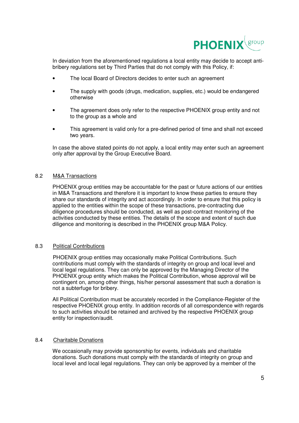

In deviation from the aforementioned regulations a local entity may decide to accept antibribery regulations set by Third Parties that do not comply with this Policy, if:

- The local Board of Directors decides to enter such an agreement
- The supply with goods (drugs, medication, supplies, etc.) would be endangered otherwise
- The agreement does only refer to the respective PHOENIX group entity and not to the group as a whole and
- This agreement is valid only for a pre-defined period of time and shall not exceed two years.

In case the above stated points do not apply, a local entity may enter such an agreement only after approval by the Group Executive Board.

#### 8.2 M&A Transactions

PHOENIX group entities may be accountable for the past or future actions of our entities in M&A Transactions and therefore it is important to know these parties to ensure they share our standards of integrity and act accordingly. In order to ensure that this policy is applied to the entities within the scope of these transactions, pre-contracting due diligence procedures should be conducted, as well as post-contract monitoring of the activities conducted by these entities. The details of the scope and extent of such due diligence and monitoring is described in the PHOENIX group M&A Policy.

#### 8.3 Political Contributions

 PHOENIX group entities may occasionally make Political Contributions. Such contributions must comply with the standards of integrity on group and local level and local legal regulations. They can only be approved by the Managing Director of the PHOENIX group entity which makes the Political Contribution, whose approval will be contingent on, among other things, his/her personal assessment that such a donation is not a subterfuge for bribery.

All Political Contribution must be accurately recorded in the Compliance-Register of the respective PHOENIX group entity. In addition records of all correspondence with regards to such activities should be retained and archived by the respective PHOENIX group entity for inspection/audit.

#### 8.4 Charitable Donations

 We occasionally may provide sponsorship for events, individuals and charitable donations. Such donations must comply with the standards of integrity on group and local level and local legal regulations. They can only be approved by a member of the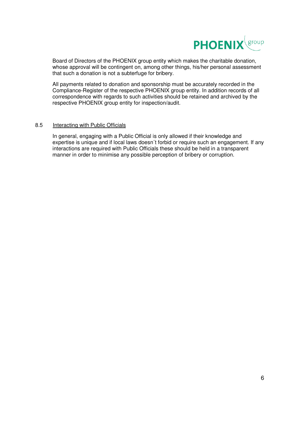

Board of Directors of the PHOENIX group entity which makes the charitable donation, whose approval will be contingent on, among other things, his/her personal assessment that such a donation is not a subterfuge for bribery.

All payments related to donation and sponsorship must be accurately recorded in the Compliance-Register of the respective PHOENIX group entity. In addition records of all correspondence with regards to such activities should be retained and archived by the respective PHOENIX group entity for inspection/audit.

#### 8.5 Interacting with Public Officials

In general, engaging with a Public Official is only allowed if their knowledge and expertise is unique and if local laws doesn´t forbid or require such an engagement. If any interactions are required with Public Officials these should be held in a transparent manner in order to minimise any possible perception of bribery or corruption.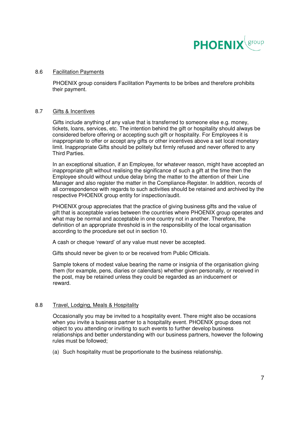

#### 8.6 Facilitation Payments

 PHOENIX group considers Facilitation Payments to be bribes and therefore prohibits their payment.

#### 8.7 Gifts & Incentives

 Gifts include anything of any value that is transferred to someone else e.g. money, tickets, loans, services, etc. The intention behind the gift or hospitality should always be considered before offering or accepting such gift or hospitality. For Employees it is inappropriate to offer or accept any gifts or other incentives above a set local monetary limit. Inappropriate Gifts should be politely but firmly refused and never offered to any Third Parties.

In an exceptional situation, if an Employee, for whatever reason, might have accepted an inappropriate gift without realising the significance of such a gift at the time then the Employee should without undue delay bring the matter to the attention of their Line Manager and also register the matter in the Compliance-Register. In addition, records of all correspondence with regards to such activities should be retained and archived by the respective PHOENIX group entity for inspection/audit.

PHOENIX group appreciates that the practice of giving business gifts and the value of gift that is acceptable varies between the countries where PHOENIX group operates and what may be normal and acceptable in one country not in another. Therefore, the definition of an appropriate threshold is in the responsibility of the local organisation according to the procedure set out in section 10.

A cash or cheque 'reward' of any value must never be accepted.

Gifts should never be given to or be received from Public Officials.

Sample tokens of modest value bearing the name or insignia of the organisation giving them (for example, pens, diaries or calendars) whether given personally, or received in the post, may be retained unless they could be regarded as an inducement or reward.

#### 8.8 Travel, Lodging, Meals & Hospitality

 Occasionally you may be invited to a hospitality event. There might also be occasions when you invite a business partner to a hospitality event. PHOENIX group does not object to you attending or inviting to such events to further develop business relationships and better understanding with our business partners, however the following rules must be followed;

(a) Such hospitality must be proportionate to the business relationship.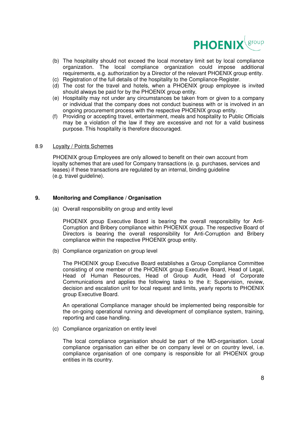

- (b) The hospitality should not exceed the local monetary limit set by local compliance organization. The local compliance organization could impose additional requirements, e.g. authorization by a Director of the relevant PHOENIX group entity.
- (c) Registration of the full details of the hospitality to the Compliance-Register.
- (d) The cost for the travel and hotels, when a PHOENIX group employee is invited should always be paid for by the PHOENIX group entity.
- (e) Hospitality may not under any circumstances be taken from or given to a company or individual that the company does not conduct business with or is involved in an ongoing procurement process with the respective PHOENIX group entity.
- (f) Providing or accepting travel, entertainment, meals and hospitality to Public Officials may be a violation of the law if they are excessive and not for a valid business purpose. This hospitality is therefore discouraged.

#### 8.9 Loyalty / Points Schemes

 PHOENIX group Employees are only allowed to benefit on their own account from loyalty schemes that are used for Company transactions (e. g. purchases, services and leases) if these transactions are regulated by an internal, binding guideline (e.g. travel guideline).

#### **9. Monitoring and Compliance / Organisation**

(a) Overall responsibility on group and entity level

PHOENIX group Executive Board is bearing the overall responsibility for Anti-Corruption and Bribery compliance within PHOENIX group. The respective Board of Directors is bearing the overall responsibility for Anti-Corruption and Bribery compliance within the respective PHOENIX group entity.

(b) Compliance organization on group level

The PHOENIX group Executive Board establishes a Group Compliance Committee consisting of one member of the PHOENIX group Executive Board, Head of Legal, Head of Human Resources, Head of Group Audit, Head of Corporate Communications and applies the following tasks to the it: Supervision, review, decision and escalation unit for local request and limits, yearly reports to PHOENIX group Executive Board.

An operational Compliance manager should be implemented being responsible for the on-going operational running and development of compliance system, training, reporting and case handling.

(c) Compliance organization on entity level

The local compliance organisation should be part of the MD-organisation. Local compliance organisation can either be on company level or on country level, i.e. compliance organisation of one company is responsible for all PHOENIX group entities in its country.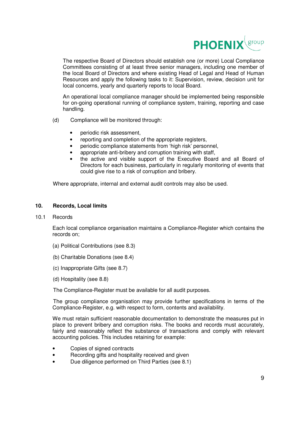

The respective Board of Directors should establish one (or more) Local Compliance Committees consisting of at least three senior managers, including one member of the local Board of Directors and where existing Head of Legal and Head of Human Resources and apply the following tasks to it: Supervision, review, decision unit for local concerns, yearly and quarterly reports to local Board.

An operational local compliance manager should be implemented being responsible for on-going operational running of compliance system, training, reporting and case handling.

- (d) Compliance will be monitored through:
	- periodic risk assessment,
	- reporting and completion of the appropriate registers,
	- periodic compliance statements from 'high risk' personnel,
	- appropriate anti-bribery and corruption training with staff,
	- the active and visible support of the Executive Board and all Board of Directors for each business, particularly in regularly monitoring of events that could give rise to a risk of corruption and bribery.

Where appropriate, internal and external audit controls may also be used.

#### **10. Records, Local limits**

#### 10.1 Records

Each local compliance organisation maintains a Compliance-Register which contains the records on;

- (a) Political Contributions (see 8.3)
- (b) Charitable Donations (see 8.4)
- (c) Inappropriate Gifts (see 8.7)
- (d) Hospitality (see 8.8)

The Compliance-Register must be available for all audit purposes.

The group compliance organisation may provide further specifications in terms of the Compliance-Register, e.g. with respect to form, contents and availability.

We must retain sufficient reasonable documentation to demonstrate the measures put in place to prevent bribery and corruption risks. The books and records must accurately, fairly and reasonably reflect the substance of transactions and comply with relevant accounting policies. This includes retaining for example:

- Copies of signed contracts
- Recording gifts and hospitality received and given
- Due diligence performed on Third Parties (see 8.1)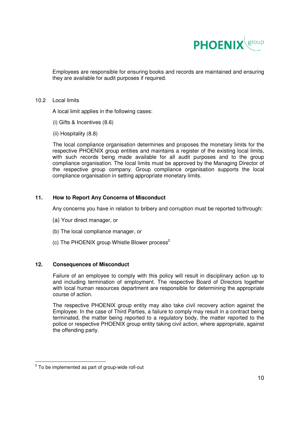

Employees are responsible for ensuring books and records are maintained and ensuring they are available for audit purposes if required.

#### 10.2 Local limits

A local limit applies in the following cases:

- (i) Gifts & Incentives (8.6)
- (ii) Hospitality (8.8)

 The local compliance organisation determines and proposes the monetary limits for the respective PHOENIX group entities and maintains a register of the existing local limits, with such records being made available for all audit purposes and to the group compliance organisation. The local limits must be approved by the Managing Director of the respective group company. Group compliance organisation supports the local compliance organisation in setting appropriate monetary limits.

#### **11. How to Report Any Concerns of Misconduct**

Any concerns you have in relation to bribery and corruption must be reported to/through:

- (a) Your direct manager, or
- (b) The local compliance manager, or
- (c) The PHOENIX group Whistle Blower process<sup>2</sup>

#### **12. Consequences of Misconduct**

Failure of an employee to comply with this policy will result in disciplinary action up to and including termination of employment. The respective Board of Directors together with local human resources department are responsible for determining the appropriate course of action.

The respective PHOENIX group entity may also take civil recovery action against the Employee. In the case of Third Parties, a failure to comply may result in a contract being terminated, the matter being reported to a regulatory body, the matter reported to the police or respective PHOENIX group entity taking civil action, where appropriate, against the offending party.

 2 To be implemented as part of group-wide roll-out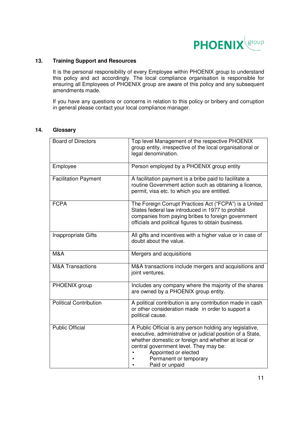

### **13. Training Support and Resources**

It is the personal responsibility of every Employee within PHOENIX group to understand this policy and act accordingly. The local compliance organisation is responsible for ensuring all Employees of PHOENIX group are aware of this policy and any subsequent amendments made.

If you have any questions or concerns in relation to this policy or bribery and corruption in general please contact your local compliance manager.

#### **14. Glossary**

| <b>Board of Directors</b>     | Top level Management of the respective PHOENIX<br>group entity, irrespective of the local organisational or<br>legal denomination.                                                                                                                                                          |
|-------------------------------|---------------------------------------------------------------------------------------------------------------------------------------------------------------------------------------------------------------------------------------------------------------------------------------------|
| Employee                      | Person employed by a PHOENIX group entity                                                                                                                                                                                                                                                   |
| <b>Facilitation Payment</b>   | A facilitation payment is a bribe paid to facilitate a<br>routine Government action such as obtaining a licence,<br>permit, visa etc. to which you are entitled.                                                                                                                            |
| <b>FCPA</b>                   | The Foreign Corrupt Practices Act ("FCPA") is a United<br>States federal law introduced in 1977 to prohibit<br>companies from paying bribes to foreign government<br>officials and political figures to obtain business.                                                                    |
| Inappropriate Gifts           | All gifts and incentives with a higher value or in case of<br>doubt about the value.                                                                                                                                                                                                        |
| M&A                           | Mergers and acquisitions                                                                                                                                                                                                                                                                    |
| <b>M&amp;A Transactions</b>   | M&A transactions include mergers and acquisitions and<br>joint ventures.                                                                                                                                                                                                                    |
| PHOENIX group                 | Includes any company where the majority of the shares<br>are owned by a PHOENIX group entity.                                                                                                                                                                                               |
| <b>Political Contribution</b> | A political contribution is any contribution made in cash<br>or other consideration made in order to support a<br>political cause.                                                                                                                                                          |
| <b>Public Official</b>        | A Public Official is any person holding any legislative,<br>executive, administrative or judicial position of a State,<br>whether domestic or foreign and whether at local or<br>central government level. They may be:<br>Appointed or elected<br>Permanent or temporary<br>Paid or unpaid |